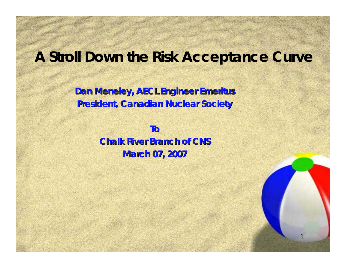### **A Stroll Down the Risk Acceptance Curve**

1

**Dan Meneley, AECL Engineer Emeritus President, Canadian Nuclear Society President, Canadian Nuclear Society**

> **To Chalk River Branch of CNS Chalk River Branch of CNSMarch 07, 2007 March 07, 2007**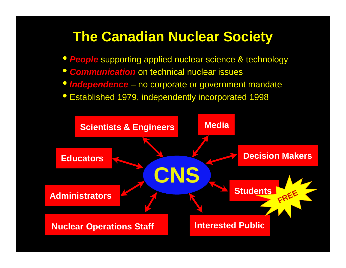## **The Canadian Nuclear Society**

- *People* supporting applied nuclear science & technology
- $\bullet$ *Communication* on technical nuclear issues
- *Independence* no corporate or government mandate
- Established 1979, independently incorporated 1998

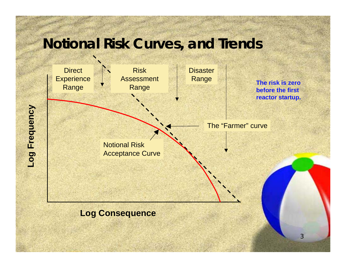## **Notional Risk Curves, and Trends**



3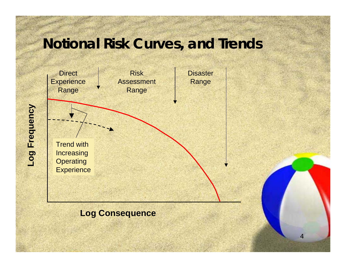## **Notional Risk Curves, and Trends**

4



#### **Log Consequence**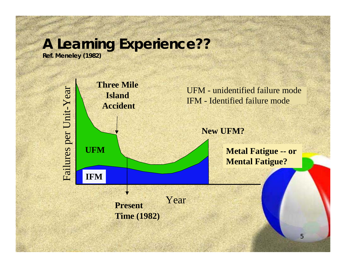# **A Learning Experience??**

**Ref. Meneley (1982)**



**Time (1982)**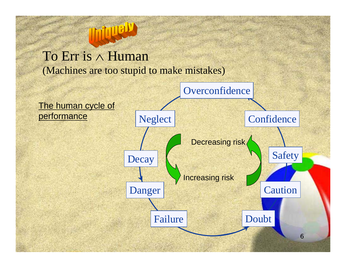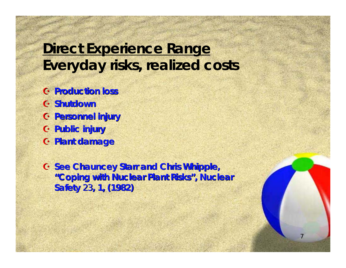## **Direct Experience Range Everyday risks, realized costs**

- A **Production loss Production loss**
- A **Shutdown Shutdown**
- A **Personnel injury Personnel injury**
- A **Public injury Public injury**
- A **Plant damage Plant damage**

**G See Chauncey Starr and Chris Whipple, "Coping with Nuclear Plant Risks Coping with Nuclear Plant Risks ", Nuclear , Nuclear Safety** 23**, 1, (1982) , 1, (1982)**

7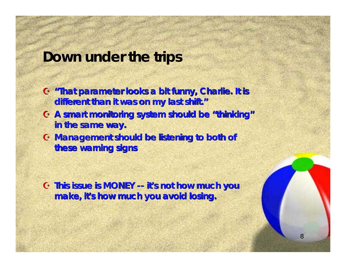#### **Down under the trips**

- **G** "That parameter looks a bit funny, Charlie. It is **different than it was on my last shift. different than it was on my last shift. "**
- **6 A smart monitoring system should be "thinking" in the same way. in the same way.**
- A **Management should be listening to both of Management should be listening to both of these warning signs these warning signs**

A **This issue is MONEY This issue is MONEY -- it's not how much you s not how much you make, it's how much you avoid losing.**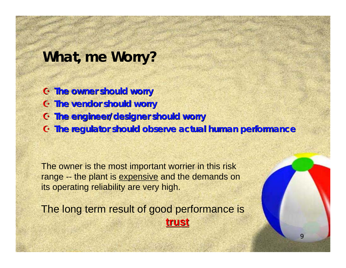#### **What, me Worry?**

- A **The owner should worry The owner should worry**
- A **The vendor should worry The vendor should worry**
- A **The engineer/designer should worry The engineer/designer should worry**
- A **The regulator should observe actual human performance The regulator should observe actual human performance**

The owner is the most important worrier in this risk range -- the plant is expensive and the demands on its operating reliability are very high.

The long term result of good performance is **trust**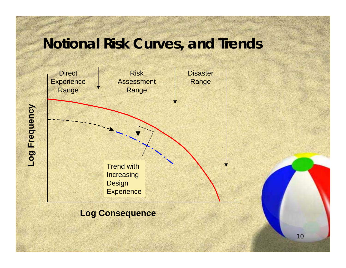## **Notional Risk Curves, and Trends**



#### **Log Consequence**

10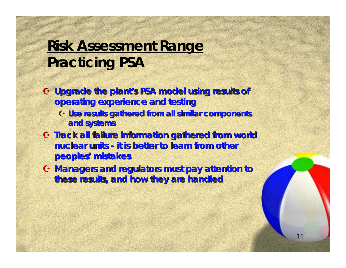## **Risk Assessment Range Practicing PSA**

- **G Upgrade the plant's PSA model using results of Set 1. operating experience and testing operating experience and testing G Use results gathered from all similar components gathered from all similar components** 
	- **and systems and systems**
- A **Track all failure information gathered from world Track all failure information gathered from world nuclear units nuclear units - it is better to learn from other it is better to learn from other peoples peoples' mistakes mistakes**
- A **Managers and regulators must pay attention to Managers and regulators must pay attention to these results, and how they are handled these results, and how they are handled**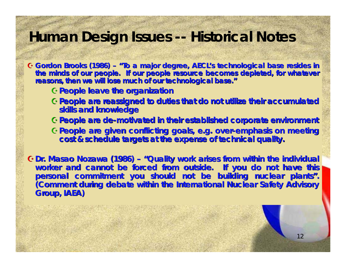## **Human Design Issues -- Historical Notes**

**G** Gordon Brooks (1986) – "To a major degree, AECL's technological base resides in the minds of our people. If our people resource becomes depleted, for whatever reasons, then we will lose much of our technological base."

- A**People leave the organization People leave the organization**
- A**People are reassigned to duties People are reassigned to duties that do not utilize their accumu that do not utilize their accumulated skills and knowledge skills and knowledge**
- A**People are de People are de-motivated in their establis motivated in their established corporate environment hed corporate environment**
- A**People are given conflicting goals, e.g. over People are given conflicting goals, e.g. over-emphasis on meeting emphasis on meeting cost & schedule targets at the cost & schedule targets at the expense of technical quality. expense of technical quality.**

G Dr. Masao Nozawa (1986) – "Quality work arises from within the individual worker and cannot be forced from outside. If you do not have this personal commitment you should not be building nuclear plants". **(Comment during debate within the International Nuclear Safety Advisory Group, IAEA) Group, IAEA)**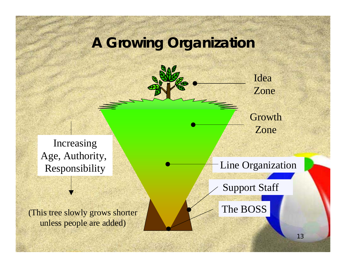## **A Growing Organization**

Idea Zone

#### GrowthZone

Increasing Age, Authority, Responsibility

(This tree slowly grows shorter unless people are added)

Line Organization

Support Staff

The BOSS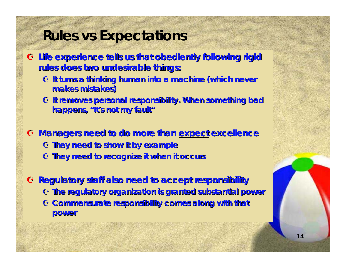### **Rules vs Expectations**

- A **Life experience tells us that obediently following rigid Life experience tells us that obediently following rigid rules does two undesirable things: rules does two undesirable things:**
	- **G It turns a thinking human into a machine (which never to a machine (which never makes mistakes) makes mistakes)**
	- A **It removes personal responsi It removes personal responsibility. When something bad bility. When something bad**  happens, "It's not my fault"
- A **Managers need to do more than Managers need to do more than expect excellence excellence** A **They need to show it by example They need to show it by example** A **They need to recognize it when it occurs need to recognize it when it occurs**
- A **Regulatory staff also need to Regulatory staff also need to accept responsibility accept responsibility** A **The regulatory organization The regulatory organization is granted substantial power is granted substantial power** G **Commensurate responsibility comes along with that power**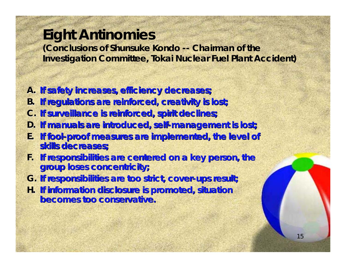## **Eight Antinomies**

**(Conclusions of Shunsuke Kondo -- Chairman of the Investigation Committee, Tokai Nuclear Fuel Plant Accident)**

- **A. If safety increases, efficiency decreases; If safety increases, efficiency decreases;**
- **B. If regulations are reinforced, creativity is lost; If regulations are reinforced, creativity is lost;**
- **C. If surveillance is reinforced, spirit declines; If surveillance is reinforced, spirit declines;**
- **D. If manuals are introduced, self If manuals are introduced, self-management is lost; management is lost;**
- **E.** If fool-proof measures are implemented, the level of **skills decreases; skills decreases;**
- **F.** If responsibilities are centered on a key person, the **group loses concentricity; group loses concentricity;**
- **G. If responsibilities are too strict, cover If responsibilities are too strict, cover-ups result; ups result;**
- **H.** If information disclosure is promoted, situation **becomes too conservative. becomes too conservative.**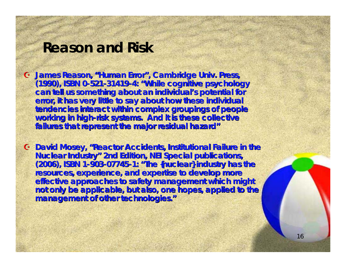### **Reason and Risk**

- G James Reason, "Human Error", Cambridge Univ. Press, **(1990), ISBN 0 (1990), ISBN 0-521-31419-4: "While cognitive psychology While cognitive psychology**  can tell us something about an individual's potential for error, it has very little to say about how these individual tendencies interact within complex groupings of people working in high-risk systems. And it is these collective **failures that represent the major residual hazard"**
- G **David Mosey, "Reactor Accidents, Institutional Failure in the Nuclear Industry" 2nd Edition, NEI Special publications, (2006), ISBN 1 (2006), ISBN 1-903-07745-1: "The {nuclear} industry has the The {nuclear} industry has the resources, experience, and expertise to develop more resources, experience, and expertise to develop more effective approaches to safety management which might** not only be applicable, but also, one hopes, applied to the **management of other technologies. management of other technologies."**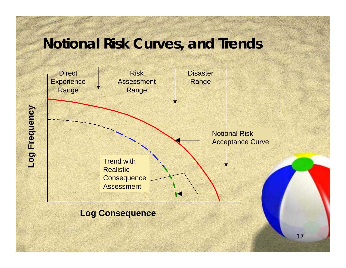## **Notional Risk Curves, and Trends**



#### **Log Consequence**

Log Frequency **Log Frequency**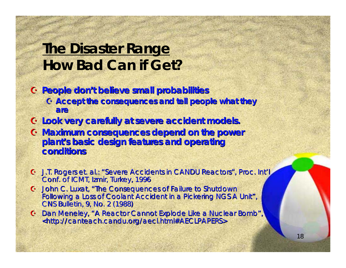## **The Disaster Range How Bad Can if Get?**

- A **People don People don't believe small probabilities t believe small probabilities**
	- **G** Accept the consequences and tell people what they **are**
- A **Look very carefully at Look very carefully at severe accident models. severe accident models.**
- A **Maximum consequences depend on the power Maximum consequences depend on the power**  plant's basic design features and operating **conditions conditions**
- G J.T. Rogers et. al.: "Severe Accidents in CANDU Reactors", Proc. Int'l Conf. of ICMT, Izmir, Turkey, 1996
- $G$  John C. Luxat, "The Consequences of Failure to Shutdown Following a Loss of Coolant Accident in a Pickering NGS A Unit", CNS Bulletin, 9, No. 2 (1988)
- G Dan Meneley, "A Reactor Cannot Explode Like a Nuclear Bomb", <http://canteach.candu.org/aecl.html#AECLPAPERS>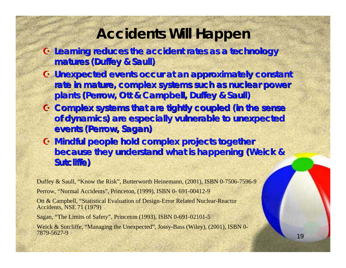### **Accidents Will Happen**

- $G$  Learning reduces the accident rates as a technology **matures ( matures (Duffey & Saull )**
- **G Unexpected events occur at an approximately constant** rate in mature, complex systems such as nuclear power plants (Perrow, Ott & Campbell, Duffey & Saull)
- A **Complex systems that are tightly coupled (in the sense Complex systems that are tightly coupled (in the sense**  of dynamics) are especially vulnerable to unexpected  $$
- $G$  **Mindful people hold complex projects together because they understand what is happening ( because they understand what is happening (Weick & Sutcliffe) Sutcliffe)**

Duffey & Saull, "Know the Risk", Butterworth Heinemann, (2001), ISBN 0-7506-7596-9

Perrow, "Normal Accidents", Princeton, (1999), ISBN 0- 691-00412-9

Ott & Campbell, "Statistical Evaluation of Design-Error Related Nuclear-Reactor Accidents, NSE 71 (1979)

Sagan, "The Limits of Safety", Princeton (1993), ISBN 0-691-02101-5

Weick & Sutcliffe, "Managing the Unexpected", Jossy-Bass (Wiley), (2001), ISBN 0- 7879-5627-9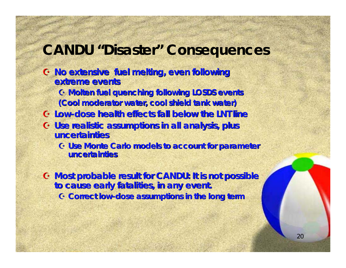### **CANDU "Disaster" Consequences**

- A **No extensive fuel melting, even following No extensive fuel melting, even following extreme events extreme events**
	- A **Molten fuel quenching following LOSDS events Molten fuel quenching following LOSDS events (Cool moderator water, cool shield tank water) (Cool moderator water, cool shield tank water)**
- A **Low -dose health effects fall below the LNT line dose health effects fall below the LNT line**
- **G** Use realistic assumptions in all analysis, plus **uncertainties uncertainties**
	- A **Use Monte Carlo models Use Monte Carlo models to account for parameter to account for parameter uncertainties uncertainties**

A **Most probable result for CANDU: It is not possible Most probable result for CANDU: It is not possible to cause early fatalities, in any event. to cause early fatalities, in any event.** A **Correct low Correct low-dose assumptions in the long term**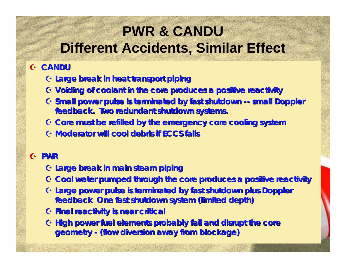# **PWR & CANDUDifferent Accidents, Similar Effect**

#### A **CANDU**

- A **Large break in heat transport piping Large break in heat transport piping**
- A **Voiding of coolant in the core Voiding of coolant in the core produces a positive reactivity produces a positive reactivity**
- A **Small power pulse is terminated by fast shutdown Small power pulse is terminated by fast shutdown -- small Doppler small Doppler feedback. Two redundant shutdown systems.**
- $G$  Core must be refilled by the emergency core cooling system
- A **Moderator will cool debris if ECCS fails Moderator will cool debris if ECCS fails**

#### A **PWR**

- A **Large break in main steam piping Large break in main steam piping**
- A **Cool water pumped through the Cool water pumped through the core produces a positive reactivit e produces a positive reactivity**
- G **Large power pulse is terminated by fast shutdown plus Doppler feedback One feedback One fast shutdown system (limited depth) fast shutdown system (limited depth)**
- A **Final reactivity is near critical Final reactivity is near critical**
- $\bf{G}$  High power fuel elements probably fail and disrupt the core **geometry geometry - (flow diversion away from blockage) (flow diversion away from blockage)**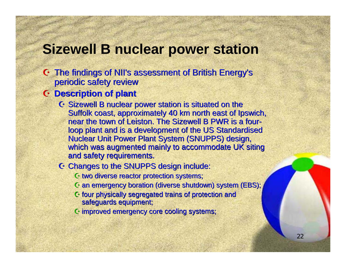## **Sizewell B nuclear power station**

- G The findings of NII's assessment of British Energy's periodic safety review
- A **Description of plant Description of plant**
	- $G$  Sizewell B nuclear power station is situated on the Suffolk coast, approximately 40 km north east of Ipswich, near the town of Leiston. The Sizewell B PWR is a fourloop plant and is a development of the US Standardised Nuclear Unit Power Plant System (SNUPPS) design, which was augmented mainly to accommodate UK siting and safety requirements.
	- G Changes to the SNUPPS design include:
		- $\mathbf C$  two diverse reactor protection systems;
		- $\mathbf C$  an emergency boration (diverse shutdown) system (EBS);
		- $G$  four physically segregated trains of protection and safeguards equipment;
		- $\odot$  improved emergency core cooling systems;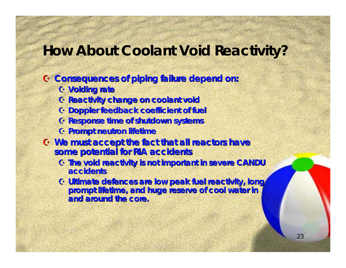## **How About Coolant Void Reactivity?**

- A **Consequences of piping failure depend on: Consequences of piping failure depend on:**
	- A **Voiding rate Voiding rate**
	- A **Reactivity change on coolant void Reactivity change on coolant void**
	- A **Doppler feedback Doppler feedback coefficient of fuel coefficient of fuel**
	- A **Response time of shutdown systems Response time of shutdown systems**
	- A **Prompt neutron lifetime Prompt neutron lifetime**
- A **We must accept the fact that all reactors have We must accept the fact that all reactors have some potential for RIA accidents some potential for RIA accidents**
	- A **The void reactivity is not The void reactivity is not important in severe CANDU important in severe CANDU accidents accidents**
	- A **Ultimate Ultimate defences defences are low peak fuel reactivity, long are low peak fuel reactivity, long**  prompt lifetime, and huge reserve of cool water in **and around the core. and around the core.**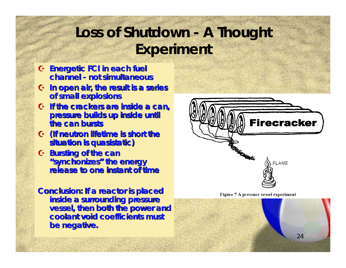# **Loss of Shutdown - A Thought Experiment**

- A **Energetic FCI in each fuel Energetic FCI in each fuel channel channel - not simultaneous not simultaneous**
- A **In open air, the result is a series In open air, the result is a series of small explosions of small explosions**
- A **If the crackers are inside a can, If the crackers are inside a can, pressure builds up inside until pressure builds up inside until the can bursts the can bursts**
- A **(If neutron lifetime is short the (If neutron lifetime is short the**   $\mathbf{s}$ ituation is quasistatic)
- A **Bursting of the can Bursting of the can "synchonizes synchonizes" the energy the release to one instant of time release to one instant of time**

**Conclusion: If a reactor is placed inside a surrounding pressure inside a surrounding pressure vessel, then both the power and coolant void coefficients must coolant void coefficients must be negative. be negative.**



Figure 7 A pressure vessel experiment

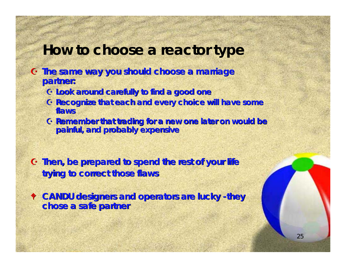## **How to choose a reactor type**

- A **The same way you should choose a marriage The same way you should choose a marriage partner: partner:**
	- A **Look around carefully to find a good one Look around carefully to find a good one**
	- **G Recognize that each and every choice will have some flaws**
	- A **Remember that trading for a new one later on would be Remember that trading for a new one later on would be painful, and probably expensive painful, and probably expensive**
- A **Then, be prepared to spend the rest of your life Then, be prepared to spend the rest of your life trying to correct those flaws trying to correct those flaws**
- $\bullet$  **CANDU designers and operators are lucky -they chose a safe partner chose a safe partner**